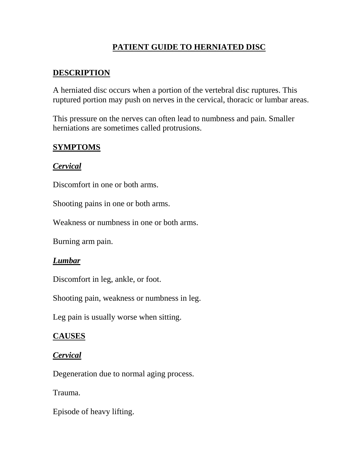# **PATIENT GUIDE TO HERNIATED DISC**

# **DESCRIPTION**

A herniated disc occurs when a portion of the vertebral disc ruptures. This ruptured portion may push on nerves in the cervical, thoracic or lumbar areas.

This pressure on the nerves can often lead to numbness and pain. Smaller herniations are sometimes called protrusions.

### **SYMPTOMS**

### *Cervical*

Discomfort in one or both arms.

Shooting pains in one or both arms.

Weakness or numbness in one or both arms.

Burning arm pain.

#### *Lumbar*

Discomfort in leg, ankle, or foot.

Shooting pain, weakness or numbness in leg.

Leg pain is usually worse when sitting.

#### **CAUSES**

#### *Cervical*

Degeneration due to normal aging process.

Trauma.

Episode of heavy lifting.